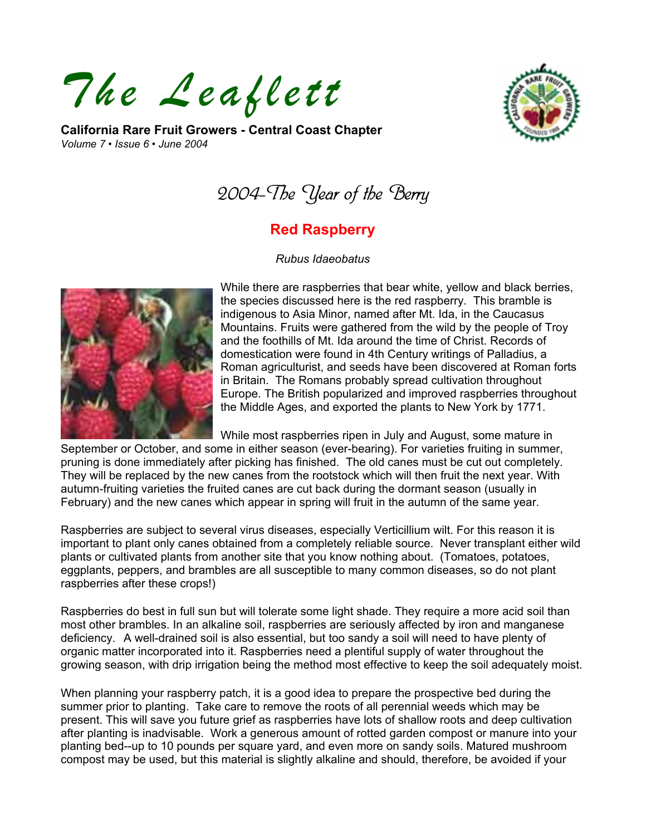*The Leaflett* 

**California Rare Fruit Growers - Central Coast Chapter**  *Volume 7 • Issue 6 • June 2004* 



2004-The Year of the Berry

## **Red Raspberry**

*Rubus Idaeobatus* 



While there are raspberries that bear white, yellow and black berries, the species discussed here is the red raspberry. This bramble is indigenous to Asia Minor, named after Mt. Ida, in the Caucasus Mountains. Fruits were gathered from the wild by the people of Troy and the foothills of Mt. Ida around the time of Christ. Records of domestication were found in 4th Century writings of Palladius, a Roman agriculturist, and seeds have been discovered at Roman forts in Britain. The Romans probably spread cultivation throughout Europe. The British popularized and improved raspberries throughout the Middle Ages, and exported the plants to New York by 1771.

While most raspberries ripen in July and August, some mature in

September or October, and some in either season (ever-bearing). For varieties fruiting in summer, pruning is done immediately after picking has finished. The old canes must be cut out completely. They will be replaced by the new canes from the rootstock which will then fruit the next year. With autumn-fruiting varieties the fruited canes are cut back during the dormant season (usually in February) and the new canes which appear in spring will fruit in the autumn of the same year.

Raspberries are subject to several virus diseases, especially Verticillium wilt. For this reason it is important to plant only canes obtained from a completely reliable source. Never transplant either wild plants or cultivated plants from another site that you know nothing about. (Tomatoes, potatoes, eggplants, peppers, and brambles are all susceptible to many common diseases, so do not plant raspberries after these crops!)

Raspberries do best in full sun but will tolerate some light shade. They require a more acid soil than most other brambles. In an alkaline soil, raspberries are seriously affected by iron and manganese deficiency. A well-drained soil is also essential, but too sandy a soil will need to have plenty of organic matter incorporated into it. Raspberries need a plentiful supply of water throughout the growing season, with drip irrigation being the method most effective to keep the soil adequately moist.

When planning your raspberry patch, it is a good idea to prepare the prospective bed during the summer prior to planting. Take care to remove the roots of all perennial weeds which may be present. This will save you future grief as raspberries have lots of shallow roots and deep cultivation after planting is inadvisable. Work a generous amount of rotted garden compost or manure into your planting bed--up to 10 pounds per square yard, and even more on sandy soils. Matured mushroom compost may be used, but this material is slightly alkaline and should, therefore, be avoided if your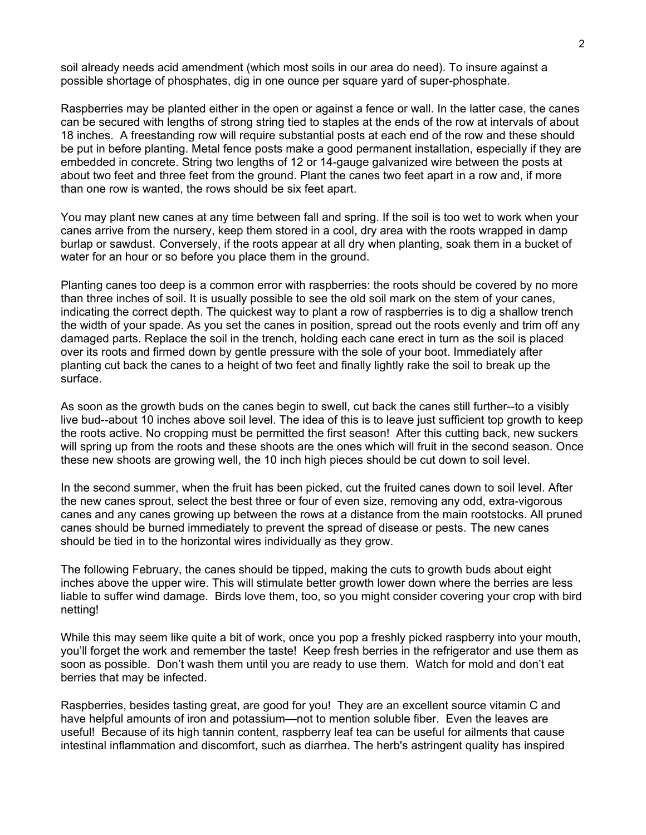soil already needs acid amendment (which most soils in our area do need). To insure against a possible shortage of phosphates, dig in one ounce per square yard of super-phosphate.

Raspberries may be planted either in the open or against a fence or wall. In the latter case, the canes can be secured with lengths of strong string tied to staples at the ends of the row at intervals of about 18 inches. A freestanding row will require substantial posts at each end of the row and these should be put in before planting. Metal fence posts make a good permanent installation, especially if they are embedded in concrete. String two lengths of 12 or 14-gauge galvanized wire between the posts at about two feet and three feet from the ground. Plant the canes two feet apart in a row and, if more than one row is wanted, the rows should be six feet apart.

You may plant new canes at any time between fall and spring. If the soil is too wet to work when your canes arrive from the nursery, keep them stored in a cool, dry area with the roots wrapped in damp burlap or sawdust. Conversely, if the roots appear at all dry when planting, soak them in a bucket of water for an hour or so before you place them in the ground.

Planting canes too deep is a common error with raspberries: the roots should be covered by no more than three inches of soil. It is usually possible to see the old soil mark on the stem of your canes, indicating the correct depth. The quickest way to plant a row of raspberries is to dig a shallow trench the width of your spade. As you set the canes in position, spread out the roots evenly and trim off any damaged parts. Replace the soil in the trench, holding each cane erect in turn as the soil is placed over its roots and firmed down by gentle pressure with the sole of your boot. Immediately after planting cut back the canes to a height of two feet and finally lightly rake the soil to break up the surface.

As soon as the growth buds on the canes begin to swell, cut back the canes still further--to a visibly live bud--about 10 inches above soil level. The idea of this is to leave just sufficient top growth to keep the roots active. No cropping must be permitted the first season! After this cutting back, new suckers will spring up from the roots and these shoots are the ones which will fruit in the second season. Once these new shoots are growing well, the 10 inch high pieces should be cut down to soil level.

In the second summer, when the fruit has been picked, cut the fruited canes down to soil level. After the new canes sprout, select the best three or four of even size, removing any odd, extra-vigorous canes and any canes growing up between the rows at a distance from the main rootstocks. All pruned canes should be burned immediately to prevent the spread of disease or pests. The new canes should be tied in to the horizontal wires individually as they grow.

The following February, the canes should be tipped, making the cuts to growth buds about eight inches above the upper wire. This will stimulate better growth lower down where the berries are less liable to suffer wind damage. Birds love them, too, so you might consider covering your crop with bird netting!

While this may seem like quite a bit of work, once you pop a freshly picked raspberry into your mouth, you'll forget the work and remember the taste! Keep fresh berries in the refrigerator and use them as soon as possible. Don't wash them until you are ready to use them. Watch for mold and don't eat berries that may be infected.

Raspberries, besides tasting great, are good for you! They are an excellent source vitamin C and have helpful amounts of iron and potassium—not to mention soluble fiber. Even the leaves are useful! Because of its high tannin content, raspberry leaf tea can be useful for ailments that cause intestinal inflammation and discomfort, such as diarrhea. The herb's astringent quality has inspired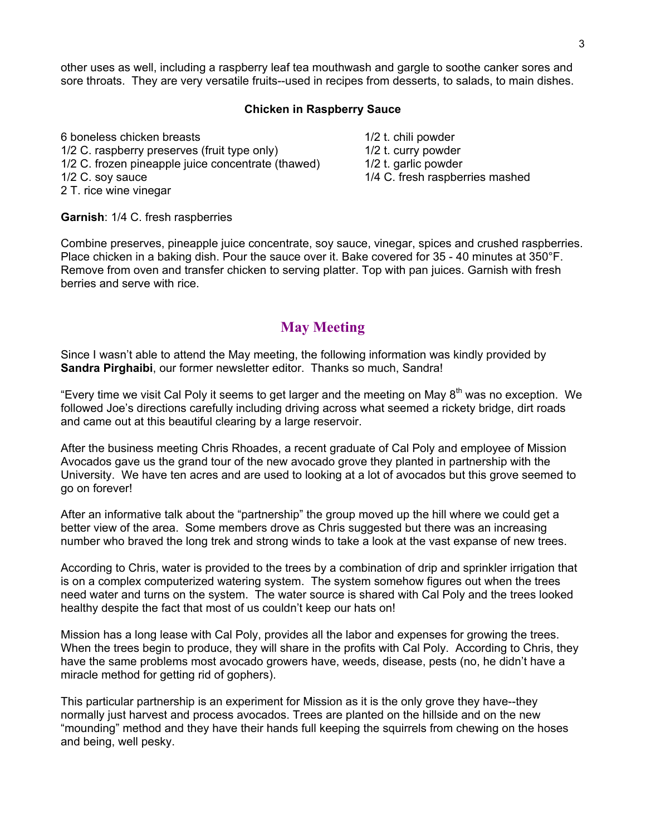other uses as well, including a raspberry leaf tea mouthwash and gargle to soothe canker sores and sore throats. They are very versatile fruits--used in recipes from desserts, to salads, to main dishes.

#### **Chicken in Raspberry Sauce**

6 boneless chicken breasts 1/2 t. chili powder 1/2 C. raspberry preserves (fruit type only) 1/2 t. curry powder 1/2 C. frozen pineapple juice concentrate (thawed) 1/2 t. garlic powder 1/2 C. soy sauce 1/4 C. fresh raspberries mashed 2 T. rice wine vinegar

**Garnish**: 1/4 C. fresh raspberries

Combine preserves, pineapple juice concentrate, soy sauce, vinegar, spices and crushed raspberries. Place chicken in a baking dish. Pour the sauce over it. Bake covered for 35 - 40 minutes at 350°F. Remove from oven and transfer chicken to serving platter. Top with pan juices. Garnish with fresh berries and serve with rice.

#### **May Meeting**

Since I wasn't able to attend the May meeting, the following information was kindly provided by **Sandra Pirghaibi**, our former newsletter editor. Thanks so much, Sandra!

"Every time we visit Cal Poly it seems to get larger and the meeting on May 8<sup>th</sup> was no exception. We followed Joe's directions carefully including driving across what seemed a rickety bridge, dirt roads and came out at this beautiful clearing by a large reservoir.

After the business meeting Chris Rhoades, a recent graduate of Cal Poly and employee of Mission Avocados gave us the grand tour of the new avocado grove they planted in partnership with the University. We have ten acres and are used to looking at a lot of avocados but this grove seemed to go on forever!

After an informative talk about the "partnership" the group moved up the hill where we could get a better view of the area. Some members drove as Chris suggested but there was an increasing number who braved the long trek and strong winds to take a look at the vast expanse of new trees.

According to Chris, water is provided to the trees by a combination of drip and sprinkler irrigation that is on a complex computerized watering system. The system somehow figures out when the trees need water and turns on the system. The water source is shared with Cal Poly and the trees looked healthy despite the fact that most of us couldn't keep our hats on!

Mission has a long lease with Cal Poly, provides all the labor and expenses for growing the trees. When the trees begin to produce, they will share in the profits with Cal Poly. According to Chris, they have the same problems most avocado growers have, weeds, disease, pests (no, he didn't have a miracle method for getting rid of gophers).

This particular partnership is an experiment for Mission as it is the only grove they have--they normally just harvest and process avocados. Trees are planted on the hillside and on the new "mounding" method and they have their hands full keeping the squirrels from chewing on the hoses and being, well pesky.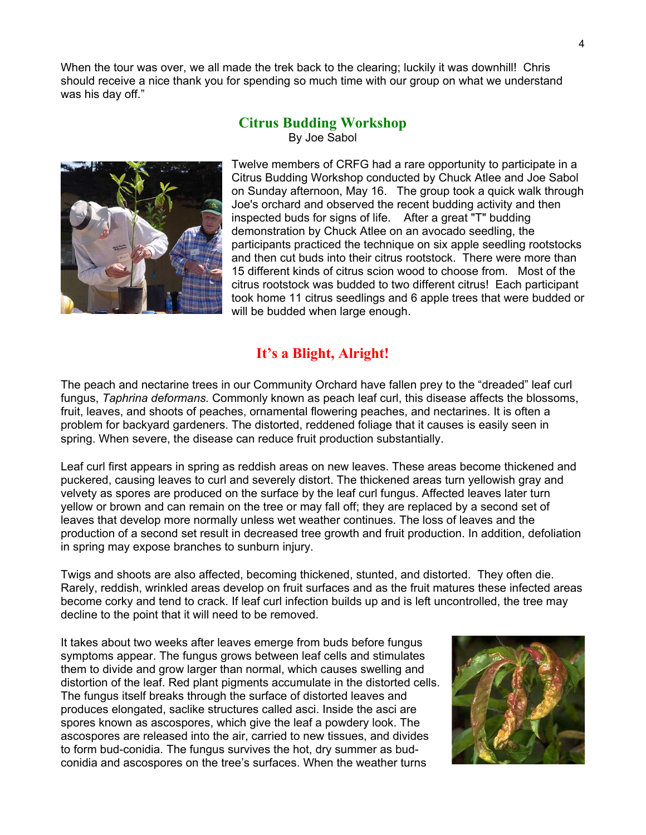When the tour was over, we all made the trek back to the clearing; luckily it was downhill! Chris should receive a nice thank you for spending so much time with our group on what we understand was his day off."

#### **Citrus Budding Workshop**  By Joe Sabol



Twelve members of CRFG had a rare opportunity to participate in a Citrus Budding Workshop conducted by Chuck Atlee and Joe Sabol on Sunday afternoon, May 16. The group took a quick walk t hrough Joe's orchard and observed the recent budding activity and then inspected buds for signs of life. After a great "T" budding demonstration by Chuck Atlee on an avocado seedling, the participants practiced the technique on six apple seedling rootstocks and then cut buds into their citrus rootstock. There were more than 15 different kinds of citrus scion wood to choose from. Most of the citrus rootstock was budded to two different citrus! Each participant took home 11 citrus seedlings and 6 apple trees that were budded o r will be budded when large enough.

### **It's a Blight, Alright!**

The peach and nectarine trees in our Community Orchard have fallen prey to the "dreaded" leaf curl fungus, *Taphrina deformans.* Commonly known as peach leaf curl, this disease affects the blossoms, fruit, leaves, and shoots of peaches, ornamental flowering peaches, and nectarines. It is often a problem for backyard gardeners. The distorted, reddened foliage that it causes is easily seen in spring. When severe, the disease can reduce fruit production substantially.

Leaf curl first appears in spring as reddish areas on new leaves. These areas become thickened and puckered, causing leaves to curl and severely distort. The thickened areas turn yellowish gray and velvety as spores are produced on the surface by the leaf curl fungus. Affected leaves later turn yellow or brown and can remain on the tree or may fall off; they are replaced by a second set of leaves that develop more normally unless wet weather continues. The loss of leaves and the production of a second set result in decreased tree growth and fruit production. In addition, defoliation in spring may expose branches to sunburn injury.

Twigs and shoots are also affected, becoming thickened, stunted, and distorted. They often die. Rarely, reddish, wrinkled areas develop on fruit surfaces and as the fruit matures these infected areas become corky and tend to crack. If leaf curl infection builds up and is left uncontrolled, the tree may decline to the point that it will need to be removed.

It takes about two weeks after leaves emerge from buds before fungus symptoms appear. The fungus grows between leaf cells and stimulates them to divide and grow larger than normal, which causes swelling and distortion of the leaf. Red plant pigments accumulate in the distorted cells. The fungus itself breaks through the surface of distorted leaves and produces elongated, saclike structures called asci. Inside the asci are spores known as ascospores, which give the leaf a powdery look. The ascospores are released into the air, carried to new tissues, and divides to form bud-conidia. The fungus survives the hot, dry summer as budconidia and ascospores on the tree's surfaces. When the weather turns

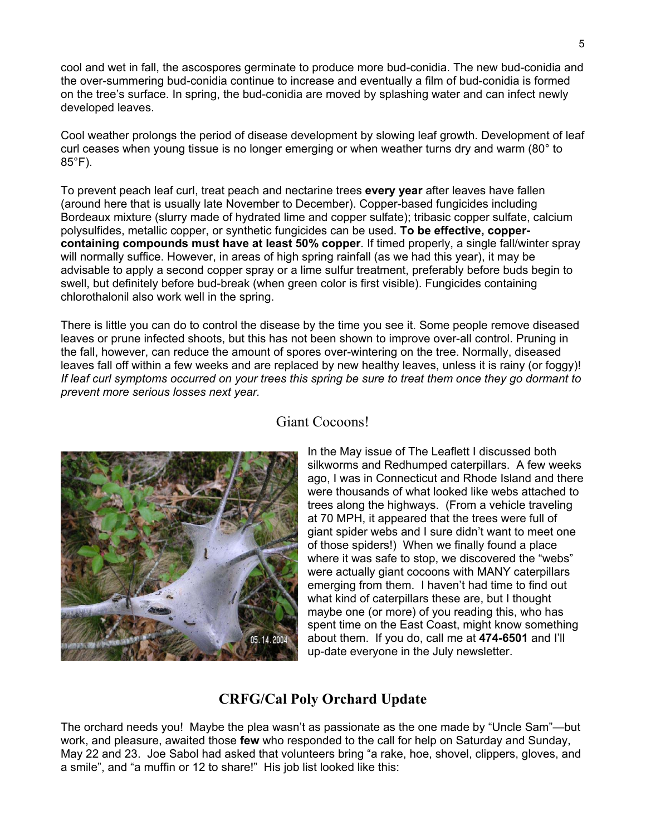cool and wet in fall, the ascospores germinate to produce more bud-conidia. The new bud-conidia and the over-summering bud-conidia continue to increase and eventually a film of bud-conidia is formed on the tree's surface. In spring, the bud-conidia are moved by splashing water and can infect newly developed leaves.

Cool weather prolongs the period of disease development by slowing leaf growth. Development of leaf curl ceases when young tissue is no longer emerging or when weather turns dry and warm (80° to 85°F).

To prevent peach leaf curl, treat peach and nectarine trees **every year** after leaves have fallen (around here that is usually late November to December). Copper-based fungicides including Bordeaux mixture (slurry made of hydrated lime and copper sulfate); tribasic copper sulfate, calcium polysulfides, metallic copper, or synthetic fungicides can be used. **To be effective, coppercontaining compounds must have at least 50% copper**. If timed properly, a single fall/winter spray will normally suffice. However, in areas of high spring rainfall (as we had this year), it may be advisable to apply a second copper spray or a lime sulfur treatment, preferably before buds begin to swell, but definitely before bud-break (when green color is first visible). Fungicides containing chlorothalonil also work well in the spring.

There is little you can do to control the disease by the time you see it. Some people remove diseased leaves or prune infected shoots, but this has not been shown to improve over-all control. Pruning in the fall, however, can reduce the amount of spores over-wintering on the tree. Normally, diseased leaves fall off within a few weeks and are replaced by new healthy leaves, unless it is rainy (or foggy)! *If leaf curl symptoms occurred on your trees this spring be sure to treat them once they go dormant to prevent more serious losses next year.* 



# Giant Cocoons!

In the May issue of The Leaflett I discussed both silkworms and Redhumped caterpillars. A few weeks ago, I was in Connecticut and Rhode Island and t here were thousands of what looked like webs attached to trees along the highways. (From a vehicle trave ling at 70 MPH, it appeared that the trees were full of giant spider webs and I sure didn't want to meet one of those spiders!) When we finally found a place where it was safe to stop, we discovered the "webs" were actually giant cocoons with MANY caterpillars emerging from them. I haven't had time to find out what kind of caterpillars these are, but I thought maybe one (or more) of you reading this, who has spent time on the East Coast, might know something about them. If you do, call me at **474-6501** and I'll up-date everyone in the July newsletter.

### **CRFG/Cal Poly Orchard Update**

The orchard needs you! Maybe the plea wasn't as passionate as the one made by "Uncle Sam"—but a smile", and "a muffin or 12 to share!" His job list looked like this: work, and pleasure, awaited those **few** who responded to the call for help on Saturday and Sunday, May 22 and 23. Joe Sabol had asked that volunteers bring "a rake, hoe, shovel, clippers, gloves, and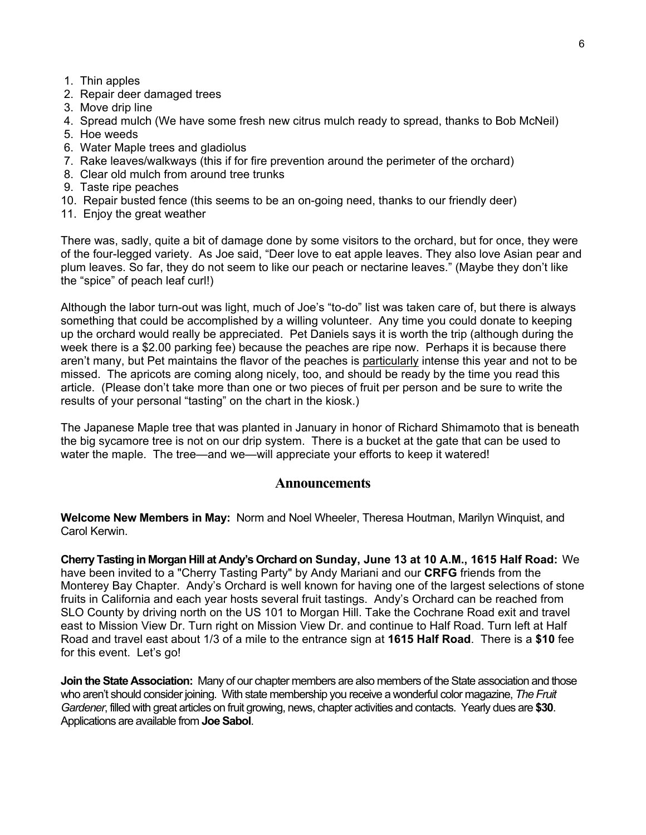- 1. Thin apples
- 2 . Repair deer damaged trees
- 3. Move drip lin e
- 4. Spread mulch (We have som e fresh new citrus mulch ready to spread, thanks to Bob McNeil)
- 5. Hoe weeds
- 6. Water Maple trees and gladiolus
- 7. Rake leaves/walkways (this if for fire prevention around the perimeter of the orchard)
- 8. Clear old mulch from around tree trunks
- 9. Taste ripe peaches
- 10. Repair busted fence (this seems to be an on-going need, thanks to our friendly deer)
- 11. Enjoy the great weather

There was, sadly, quite a bit of damage done by some visitors to the orchard, but for once, they were of the four-legged variety. As Joe said, "Deer love to eat apple leaves. They also love Asian pear and plum leaves. So far, they do not seem to like our peach or nectarine leaves." (Maybe they don't like the "spice" of peach leaf curl!)

Although the labor turn-out was light, much of Joe's "to-do" list was taken care of, but there is always something that could be accomplished by a willing volunteer. Any time you could donate to keeping up the orchard would really be appreciated. Pet Daniels says it is worth the trip (although during the week there is a \$2.00 parking fee) because the peaches are ripe now. Perhaps it is because there aren't many, but Pet maintains the flavor of the peaches is particularly intense this year and not to be missed. The apricots are coming along nicely, too, and should be ready by the time you read this article. (Please don't take more than one or two pieces of fruit per person and be sure to write the results of your personal "tasting" on the chart in the kiosk.)

The Japanese Maple tree that was planted in January in honor of Richard Shimamoto that is beneath the big sycamore tree is not on our drip system. There is a bucket at the gate that can be used to water the maple. The tree—and we—will appreciate your efforts to keep it watered!

#### **Announcements**

Welcome New Members in May: Norm and Noel Wheeler, Theresa Houtman, Marilyn Winquist, and Carol Kerwin.

 **in Morgan Hill at Andy's Orchard on Sunday, June 13 at 10 A.M., 1615 Half Road:** We **Cherry Tasting** have been invited to a "Cherry Tasting Party" by Andy Mariani and our **CRFG** friends from the fruits in California and each year hosts several fruit tastings. Andy's Orchard can be reached from Monterey Bay Chapter. Andy's Orchard is well known for having one of the largest selections of stone SLO County by driving north on the US 101 to Morgan Hill. Take the Cochrane Road exit and travel east to Mission View Dr. Turn right on Mission View Dr. and continue to Half Road. Turn left at Half Road and travel east about 1/3 of a mile to the entrance sign at **1615 Half Road**. There is a **\$10** fee for this event. Let's go!

**Join the State Association:** Many of our chapter members are also members of the State association and those who aren't should consider joining. With state membership you receive a wonderful color magazine, *The Fruit Gardener*, filled with great articles on fruit growing, news, chapter activities and contacts. Yearly dues are **\$30**. Applications are available from **Joe Sabol**.